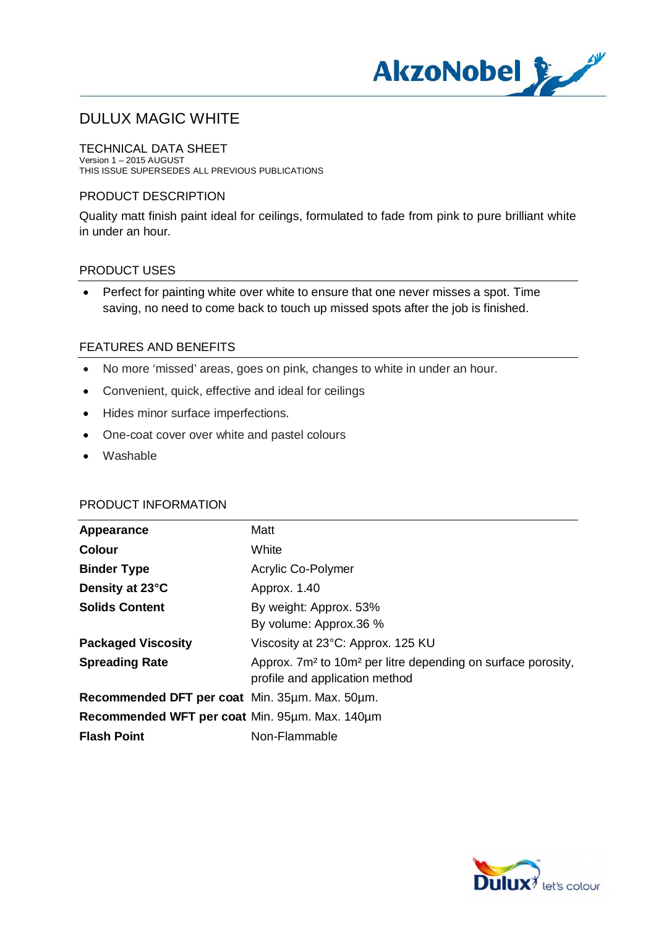

TECHNICAL DATA SHEET Version 1 – 2015 AUGUST THIS ISSUE SUPERSEDES ALL PREVIOUS PUBLICATIONS

### PRODUCT DESCRIPTION

Quality matt finish paint ideal for ceilings, formulated to fade from pink to pure brilliant white in under an hour.

#### PRODUCT USES

· Perfect for painting white over white to ensure that one never misses a spot. Time saving, no need to come back to touch up missed spots after the job is finished.

## FEATURES AND BENEFITS

- · No more 'missed' areas, goes on pink, changes to white in under an hour.
- · Convenient, quick, effective and ideal for ceilings
- · Hides minor surface imperfections.
- · One-coat cover over white and pastel colours
- · Washable

## PRODUCT INFORMATION

| Appearance                                     | Matt                                                                                                                   |
|------------------------------------------------|------------------------------------------------------------------------------------------------------------------------|
| <b>Colour</b>                                  | White                                                                                                                  |
| <b>Binder Type</b>                             | Acrylic Co-Polymer                                                                                                     |
| Density at 23°C                                | Approx. 1.40                                                                                                           |
| <b>Solids Content</b>                          | By weight: Approx. 53%<br>By volume: Approx.36 %                                                                       |
| <b>Packaged Viscosity</b>                      | Viscosity at 23°C: Approx. 125 KU                                                                                      |
| <b>Spreading Rate</b>                          | Approx. 7m <sup>2</sup> to 10m <sup>2</sup> per litre depending on surface porosity,<br>profile and application method |
| Recommended DFT per coat Min. 35um. Max. 50um. |                                                                                                                        |
| Recommended WFT per coat Min. 95µm. Max. 140µm |                                                                                                                        |
| <b>Flash Point</b>                             | Non-Flammable                                                                                                          |

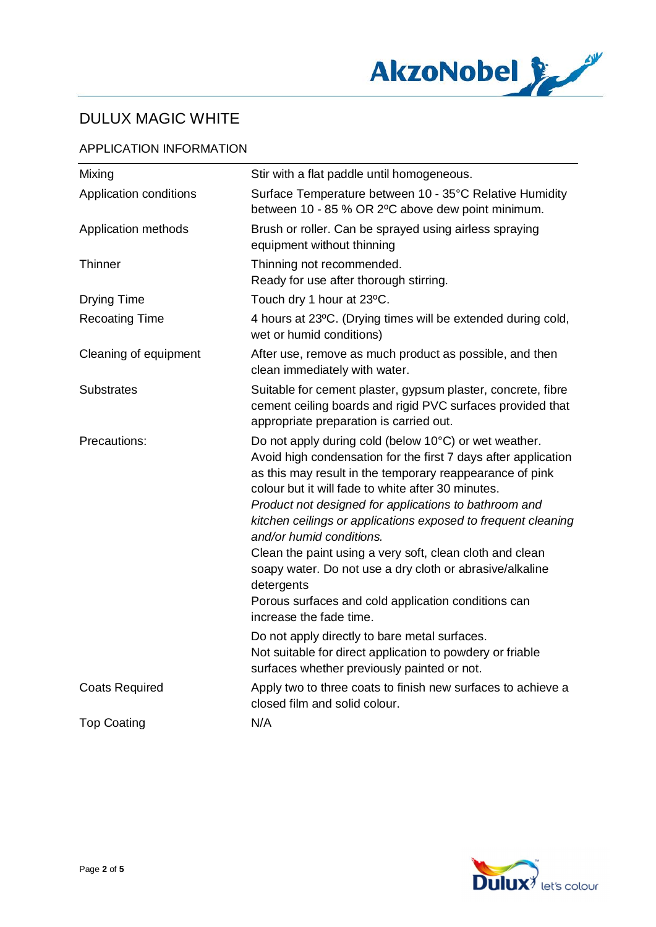

## APPLICATION INFORMATION

| Mixing                 | Stir with a flat paddle until homogeneous.                                                                                                                                                                                                                                                                                                                                                                                                                                                                                                                                                                              |
|------------------------|-------------------------------------------------------------------------------------------------------------------------------------------------------------------------------------------------------------------------------------------------------------------------------------------------------------------------------------------------------------------------------------------------------------------------------------------------------------------------------------------------------------------------------------------------------------------------------------------------------------------------|
| Application conditions | Surface Temperature between 10 - 35°C Relative Humidity<br>between 10 - 85 % OR 2°C above dew point minimum.                                                                                                                                                                                                                                                                                                                                                                                                                                                                                                            |
| Application methods    | Brush or roller. Can be sprayed using airless spraying<br>equipment without thinning                                                                                                                                                                                                                                                                                                                                                                                                                                                                                                                                    |
| Thinner                | Thinning not recommended.<br>Ready for use after thorough stirring.                                                                                                                                                                                                                                                                                                                                                                                                                                                                                                                                                     |
| <b>Drying Time</b>     | Touch dry 1 hour at 23°C.                                                                                                                                                                                                                                                                                                                                                                                                                                                                                                                                                                                               |
| <b>Recoating Time</b>  | 4 hours at 23°C. (Drying times will be extended during cold,<br>wet or humid conditions)                                                                                                                                                                                                                                                                                                                                                                                                                                                                                                                                |
| Cleaning of equipment  | After use, remove as much product as possible, and then<br>clean immediately with water.                                                                                                                                                                                                                                                                                                                                                                                                                                                                                                                                |
| <b>Substrates</b>      | Suitable for cement plaster, gypsum plaster, concrete, fibre<br>cement ceiling boards and rigid PVC surfaces provided that<br>appropriate preparation is carried out.                                                                                                                                                                                                                                                                                                                                                                                                                                                   |
| Precautions:           | Do not apply during cold (below 10°C) or wet weather.<br>Avoid high condensation for the first 7 days after application<br>as this may result in the temporary reappearance of pink<br>colour but it will fade to white after 30 minutes.<br>Product not designed for applications to bathroom and<br>kitchen ceilings or applications exposed to frequent cleaning<br>and/or humid conditions.<br>Clean the paint using a very soft, clean cloth and clean<br>soapy water. Do not use a dry cloth or abrasive/alkaline<br>detergents<br>Porous surfaces and cold application conditions can<br>increase the fade time. |
|                        | Do not apply directly to bare metal surfaces.<br>Not suitable for direct application to powdery or friable<br>surfaces whether previously painted or not.                                                                                                                                                                                                                                                                                                                                                                                                                                                               |
| <b>Coats Required</b>  | Apply two to three coats to finish new surfaces to achieve a<br>closed film and solid colour.                                                                                                                                                                                                                                                                                                                                                                                                                                                                                                                           |
| <b>Top Coating</b>     | N/A                                                                                                                                                                                                                                                                                                                                                                                                                                                                                                                                                                                                                     |
|                        |                                                                                                                                                                                                                                                                                                                                                                                                                                                                                                                                                                                                                         |

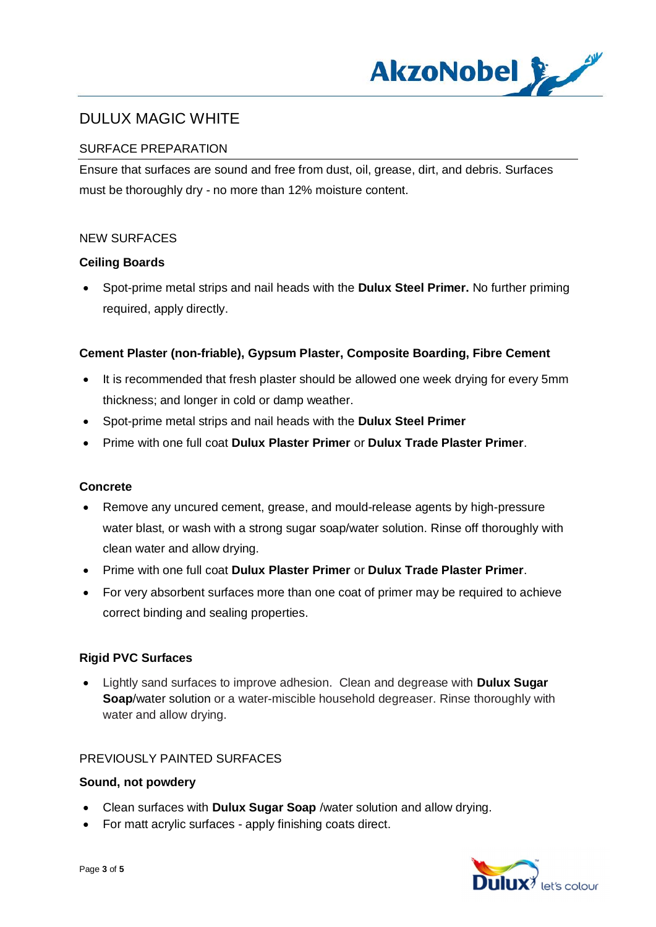

## SURFACE PREPARATION

Ensure that surfaces are sound and free from dust, oil, grease, dirt, and debris. Surfaces must be thoroughly dry - no more than 12% moisture content.

#### NEW SURFACES

#### **Ceiling Boards**

· Spot-prime metal strips and nail heads with the **Dulux Steel Primer.** No further priming required, apply directly.

#### **Cement Plaster (non-friable), Gypsum Plaster, Composite Boarding, Fibre Cement**

- It is recommended that fresh plaster should be allowed one week drying for every 5mm thickness; and longer in cold or damp weather.
- · Spot-prime metal strips and nail heads with the **Dulux Steel Primer**
- · Prime with one full coat **Dulux Plaster Primer** or **Dulux Trade Plaster Primer**.

#### **Concrete**

- · Remove any uncured cement, grease, and mould-release agents by high-pressure water blast, or wash with a strong sugar soap/water solution. Rinse off thoroughly with clean water and allow drying.
- · Prime with one full coat **Dulux Plaster Primer** or **Dulux Trade Plaster Primer**.
- · For very absorbent surfaces more than one coat of primer may be required to achieve correct binding and sealing properties.

#### **Rigid PVC Surfaces**

· Lightly sand surfaces to improve adhesion. Clean and degrease with **Dulux Sugar Soap**/water solution or a water-miscible household degreaser. Rinse thoroughly with water and allow drying.

#### PREVIOUSLY PAINTED SURFACES

#### **Sound, not powdery**

- · Clean surfaces with **Dulux Sugar Soap** /water solution and allow drying.
- · For matt acrylic surfaces apply finishing coats direct.

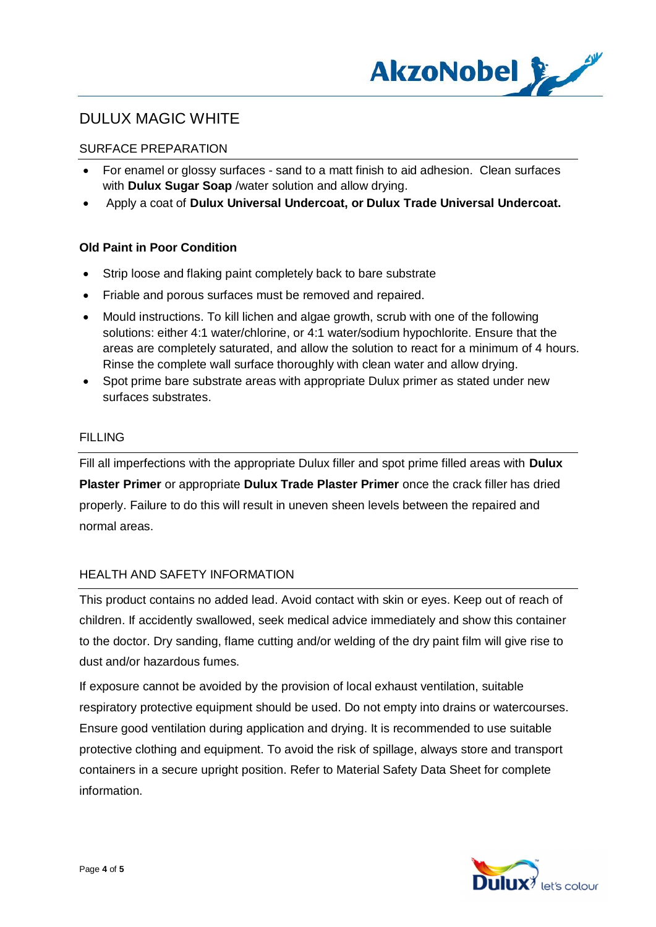

## SURFACE PREPARATION

- For enamel or glossy surfaces sand to a matt finish to aid adhesion. Clean surfaces with **Dulux Sugar Soap** /water solution and allow drying.
- · Apply a coat of **Dulux Universal Undercoat, or Dulux Trade Universal Undercoat.**

#### **Old Paint in Poor Condition**

- · Strip loose and flaking paint completely back to bare substrate
- · Friable and porous surfaces must be removed and repaired.
- · Mould instructions. To kill lichen and algae growth, scrub with one of the following solutions: either 4:1 water/chlorine, or 4:1 water/sodium hypochlorite. Ensure that the areas are completely saturated, and allow the solution to react for a minimum of 4 hours. Rinse the complete wall surface thoroughly with clean water and allow drying.
- · Spot prime bare substrate areas with appropriate Dulux primer as stated under new surfaces substrates.

## FILLING

Fill all imperfections with the appropriate Dulux filler and spot prime filled areas with **Dulux Plaster Primer** or appropriate **Dulux Trade Plaster Primer** once the crack filler has dried properly. Failure to do this will result in uneven sheen levels between the repaired and normal areas.

#### HEALTH AND SAFETY INFORMATION

This product contains no added lead. Avoid contact with skin or eyes. Keep out of reach of children. If accidently swallowed, seek medical advice immediately and show this container to the doctor. Dry sanding, flame cutting and/or welding of the dry paint film will give rise to dust and/or hazardous fumes.

If exposure cannot be avoided by the provision of local exhaust ventilation, suitable respiratory protective equipment should be used. Do not empty into drains or watercourses. Ensure good ventilation during application and drying. It is recommended to use suitable protective clothing and equipment. To avoid the risk of spillage, always store and transport containers in a secure upright position. Refer to Material Safety Data Sheet for complete information.